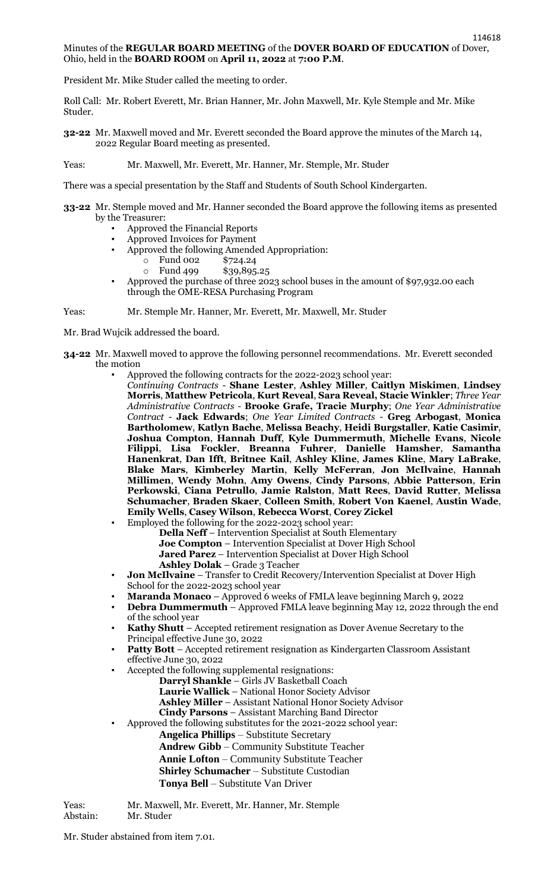## Minutes of the **REGULAR BOARD MEETING** of the **DOVER BOARD OF EDUCATION** of Dover, Ohio, held in the **BOARD ROOM** on **April 11, 2022** at **7:00 P.M**.

President Mr. Mike Studer called the meeting to order.

Roll Call: Mr. Robert Everett, Mr. Brian Hanner, Mr. John Maxwell, Mr. Kyle Stemple and Mr. Mike Studer.

- **32-22** Mr. Maxwell moved and Mr. Everett seconded the Board approve the minutes of the March 14, 2022 Regular Board meeting as presented.
- Yeas: Mr. Maxwell, Mr. Everett, Mr. Hanner, Mr. Stemple, Mr. Studer

There was a special presentation by the Staff and Students of South School Kindergarten.

- **33-22** Mr. Stemple moved and Mr. Hanner seconded the Board approve the following items as presented by the Treasurer:
	- Approved the Financial Reports
	- Approved Invoices for Payment
	- Approved the following Amended Appropriation:
		- o Fund 002 \$724.24
		- o Fund 499 \$39,895.25
	- Approved the purchase of three 2023 school buses in the amount of \$97,932.00 each through the OME-RESA Purchasing Program

Yeas: Mr. Stemple Mr. Hanner, Mr. Everett, Mr. Maxwell, Mr. Studer

Mr. Brad Wujcik addressed the board.

- **34-22** Mr. Maxwell moved to approve the following personnel recommendations. Mr. Everett seconded the motion
	- Approved the following contracts for the 2022-2023 school year:
		- *Continuing Contracts* **Shane Lester**, **Ashley Miller**, **Caitlyn Miskimen**, **Lindsey Morris**, **Matthew Petricola**, **Kurt Reveal**, **Sara Reveal, Stacie Winkler**; *Three Year Administrative Contracts* - **Brooke Grafe, Tracie Murphy**; *One Year Administrative Contract* - **Jack Edwards**; *One Year Limited Contracts* - **Greg Arbogast**, **Monica Bartholomew**, **Katlyn Bache**, **Melissa Beachy**, **Heidi Burgstaller**, **Katie Casimir**, **Joshua Compton**, **Hannah Duff**, **Kyle Dummermuth**, **Michelle Evans**, **Nicole Filippi**, **Lisa Fockler**, **Breanna Fuhrer**, **Danielle Hamsher**, **Samantha Hanenkrat**, **Dan Ifft**, **Britnee Kail**, **Ashley Kline**, **James Kline**, **Mary LaBrake**, **Blake Mars**, **Kimberley Martin**, **Kelly McFerran**, **Jon McIlvaine**, **Hannah Millimen**, **Wendy Mohn**, **Amy Owens**, **Cindy Parsons**, **Abbie Patterson**, **Erin Perkowski**, **Ciana Petrullo**, **Jamie Ralston**, **Matt Rees**, **David Rutter**, **Melissa Schumacher**, **Braden Skaer**, **Colleen Smith**, **Robert Von Kaenel**, **Austin Wade**, **Emily Wells**, **Casey Wilson**, **Rebecca Worst**, **Corey Zickel**
	- Employed the following for the 2022-2023 school year:

**Della Neff** – Intervention Specialist at South Elementary **Joe Compton** – Intervention Specialist at Dover High School **Jared Parez** – Intervention Specialist at Dover High School **Ashley Dolak** – Grade 3 Teacher

- **Jon McIlvaine** Transfer to Credit Recovery/Intervention Specialist at Dover High School for the 2022-2023 school year
- **Maranda Monaco** Approved 6 weeks of FMLA leave beginning March 9, 2022
- **Debra Dummermuth Approved FMLA leave beginning May 12, 2022 through the end** of the school year
- Kathy Shutt Accepted retirement resignation as Dover Avenue Secretary to the Principal effective June 30, 2022
- **Patty Bott** Accepted retirement resignation as Kindergarten Classroom Assistant effective June 30, 2022
- Accepted the following supplemental resignations:
	- **Darryl Shankle** Girls JV Basketball Coach **Laurie Wallick** – National Honor Society Advisor **Ashley Miller** – Assistant National Honor Society Advisor
	- **Cindy Parsons** Assistant Marching Band Director

Approved the following substitutes for the 2021-2022 school year: **Angelica Phillips** – Substitute Secretary

**Andrew Gibb** – Community Substitute Teacher

**Annie Lofton** – Community Substitute Teacher

- **Shirley Schumacher** Substitute Custodian
- **Tonya Bell** Substitute Van Driver

Yeas: Mr. Maxwell, Mr. Everett, Mr. Hanner, Mr. Stemple Mr. Studer

Mr. Studer abstained from item 7.01.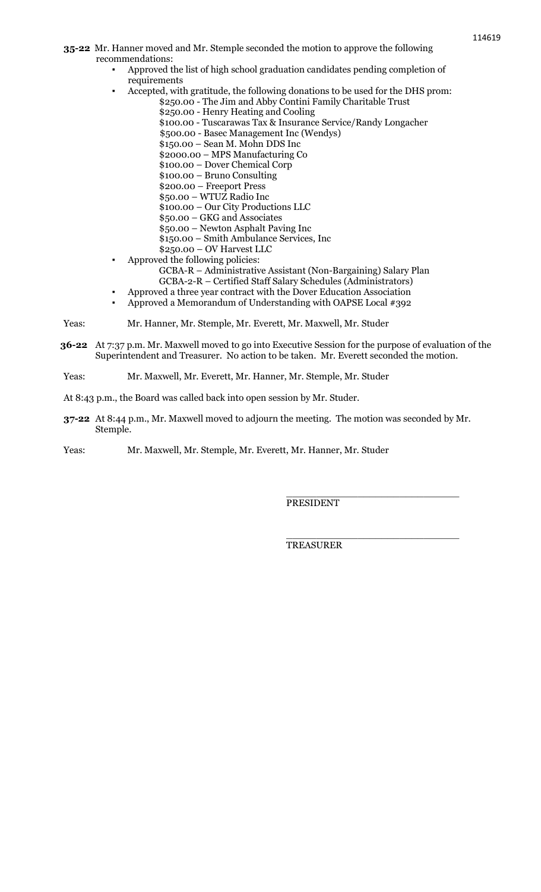- **35-22** Mr. Hanner moved and Mr. Stemple seconded the motion to approve the following recommendations:
	- Approved the list of high school graduation candidates pending completion of requirements
	- Accepted, with gratitude, the following donations to be used for the DHS prom:
		- \$250.00 The Jim and Abby Contini Family Charitable Trust
			- \$250.00 Henry Heating and Cooling
			- \$100.00 Tuscarawas Tax & Insurance Service/Randy Longacher
			- \$500.00 Basec Management Inc (Wendys)
			- \$150.00 Sean M. Mohn DDS Inc
			- \$2000.00 MPS Manufacturing Co
			- \$100.00 Dover Chemical Corp
			- \$100.00 Bruno Consulting
			- \$200.00 Freeport Press
			- \$50.00 WTUZ Radio Inc \$100.00 – Our City Productions LLC
			- \$50.00 GKG and Associates
			- \$50.00 Newton Asphalt Paving Inc
			- \$150.00 Smith Ambulance Services, Inc
		- \$250.00 OV Harvest LLC
	- Approved the following policies:
		- GCBA-R Administrative Assistant (Non-Bargaining) Salary Plan
		- GCBA-2-R Certified Staff Salary Schedules (Administrators)
		- Approved a three year contract with the Dover Education Association
	- Approved a Memorandum of Understanding with OAPSE Local #392
- Yeas: Mr. Hanner, Mr. Stemple, Mr. Everett, Mr. Maxwell, Mr. Studer
- **36-22** At 7:37 p.m. Mr. Maxwell moved to go into Executive Session for the purpose of evaluation of the Superintendent and Treasurer. No action to be taken. Mr. Everett seconded the motion.
- Yeas: Mr. Maxwell, Mr. Everett, Mr. Hanner, Mr. Stemple, Mr. Studer
- At 8:43 p.m., the Board was called back into open session by Mr. Studer.
- **37-22** At 8:44 p.m., Mr. Maxwell moved to adjourn the meeting. The motion was seconded by Mr. Stemple.

Yeas: Mr. Maxwell, Mr. Stemple, Mr. Everett, Mr. Hanner, Mr. Studer

PRESIDENT

\_\_\_\_\_\_\_\_\_\_\_\_\_\_\_\_\_\_\_\_\_\_\_\_\_\_\_\_\_

\_\_\_\_\_\_\_\_\_\_\_\_\_\_\_\_\_\_\_\_\_\_\_\_\_\_\_\_\_

TREASURER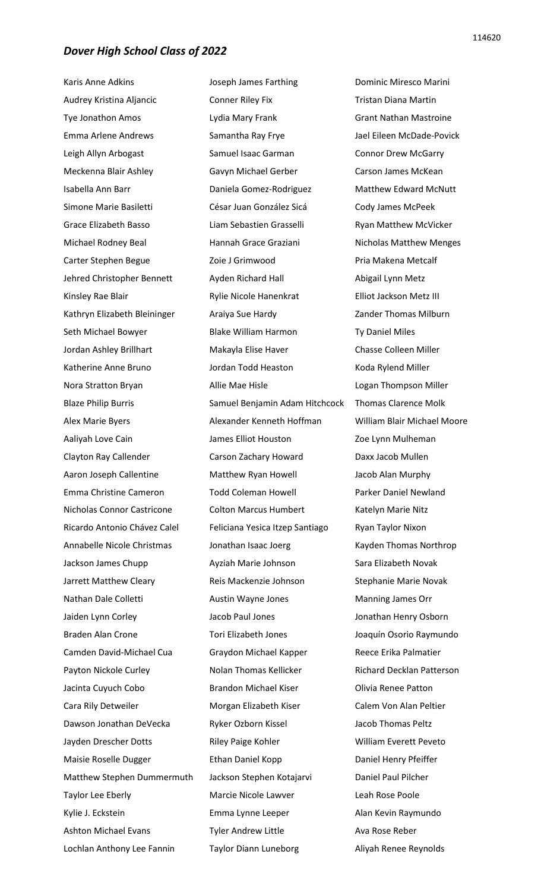Karis Anne Adkins Audrey Kristina Aljancic Tye Jonathon Amos Emma Arlene Andrews Leigh Allyn Arbogast Meckenna Blair Ashley Isabella Ann Barr Simone Marie Basiletti Grace Elizabeth Basso Michael Rodney Beal Carter Stephen Begue Jehred Christopher Bennett Kinsley Rae Blair Kathryn Elizabeth Bleininger Seth Michael Bowyer Jordan Ashley Brillhart Katherine Anne Bruno Nora Stratton Bryan Blaze Philip Burris Alex Marie Byers Aaliyah Love Cain Clayton Ray Callender Aaron Joseph Callentine Emma Christine Cameron Nicholas Connor Castricone Ricardo Antonio Chávez Calel Annabelle Nicole Christmas Jackson James Chupp Jarrett Matthew Cleary Nathan Dale Colletti Jaiden Lynn Corley Braden Alan Crone Camden David-Michael Cua Payton Nickole Curley Jacinta Cuyuch Cobo Cara Rily Detweiler Dawson Jonathan DeVecka Jayden Drescher Dotts Maisie Roselle Dugger Matthew Stephen Dummermuth Taylor Lee Eberly Kylie J. Eckstein Ashton Michael Evans Lochlan Anthony Lee Fannin

Joseph James Farthing Conner Riley Fix Lydia Mary Frank Samantha Ray Frye Samuel Isaac Garman Gavyn Michael Gerber Daniela Gomez-Rodriguez César Juan González Sicá Liam Sebastien Grasselli Hannah Grace Graziani Zoie J Grimwood Ayden Richard Hall Rylie Nicole Hanenkrat Araiya Sue Hardy Blake William Harmon Makayla Elise Haver Jordan Todd Heaston Allie Mae Hisle Samuel Benjamin Adam Hitchcock Alexander Kenneth Hoffman James Elliot Houston Carson Zachary Howard Matthew Ryan Howell Todd Coleman Howell Colton Marcus Humbert Feliciana Yesica Itzep Santiago Jonathan Isaac Joerg Ayziah Marie Johnson Reis Mackenzie Johnson Austin Wayne Jones Jacob Paul Jones Tori Elizabeth Jones Graydon Michael Kapper Nolan Thomas Kellicker Brandon Michael Kiser Morgan Elizabeth Kiser Ryker Ozborn Kissel Riley Paige Kohler Ethan Daniel Kopp Jackson Stephen Kotajarvi Marcie Nicole Lawver Emma Lynne Leeper Tyler Andrew Little Taylor Diann Luneborg

Dominic Miresco Marini Tristan Diana Martin Grant Nathan Mastroine Jael Eileen McDade-Povick Connor Drew McGarry Carson James McKean Matthew Edward McNutt Cody James McPeek Ryan Matthew McVicker Nicholas Matthew Menges Pria Makena Metcalf Abigail Lynn Metz Elliot Jackson Metz III Zander Thomas Milburn Ty Daniel Miles Chasse Colleen Miller Koda Rylend Miller Logan Thompson Miller Thomas Clarence Molk William Blair Michael Moore Zoe Lynn Mulheman Daxx Jacob Mullen Jacob Alan Murphy Parker Daniel Newland Katelyn Marie Nitz Ryan Taylor Nixon Kayden Thomas Northrop Sara Elizabeth Novak Stephanie Marie Novak Manning James Orr Jonathan Henry Osborn Joaquín Osorio Raymundo Reece Erika Palmatier Richard Decklan Patterson Olivia Renee Patton Calem Von Alan Peltier Jacob Thomas Peltz William Everett Peveto Daniel Henry Pfeiffer Daniel Paul Pilcher Leah Rose Poole Alan Kevin Raymundo Ava Rose Reber Aliyah Renee Reynolds